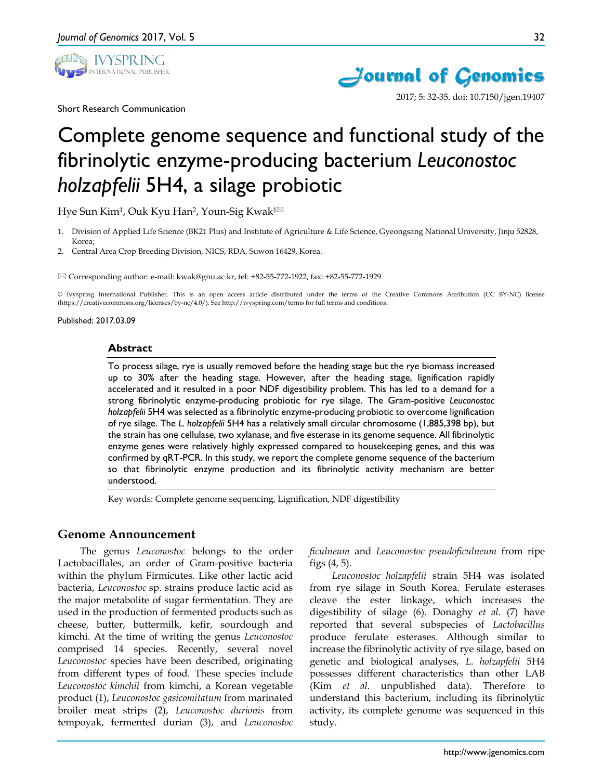

Short Research Communication



2017; 5: 32-35. doi: 10.7150/jgen.19407

# Complete genome sequence and functional study of the fibrinolytic enzyme-producing bacterium *Leuconostoc holzapfelii* 5H4, a silage probiotic

Hye Sun Kim<sup>1</sup>, Ouk Kyu Han<sup>2</sup>, Youn-Sig Kwak<sup>1⊠</sup>

- 1. Division of Applied Life Science (BK21 Plus) and Institute of Agriculture & Life Science, Gyeongsang National University, Jinju 52828, Korea;
- 2. Central Area Crop Breeding Division, NICS, RDA, Suwon 16429, Korea.

Corresponding author: e-mail: kwak@gnu.ac.kr, tel: +82-55-772-1922, fax: +82-55-772-1929

© Ivyspring International Publisher. This is an open access article distributed under the terms of the Creative Commons Attribution (CC BY-NC) license (https://creativecommons.org/licenses/by-nc/4.0/). See http://ivyspring.com/terms for full terms and conditions.

Published: 2017.03.09

### **Abstract**

To process silage, rye is usually removed before the heading stage but the rye biomass increased up to 30% after the heading stage. However, after the heading stage, lignification rapidly accelerated and it resulted in a poor NDF digestibility problem. This has led to a demand for a strong fibrinolytic enzyme-producing probiotic for rye silage. The Gram-positive *Leuconostoc holzapfelii* 5H4 was selected as a fibrinolytic enzyme-producing probiotic to overcome lignification of rye silage. The *L. holzapfelii* 5H4 has a relatively small circular chromosome (1,885,398 bp), but the strain has one cellulase, two xylanase, and five esterase in its genome sequence. All fibrinolytic enzyme genes were relatively highly expressed compared to housekeeping genes, and this was confirmed by qRT-PCR. In this study, we report the complete genome sequence of the bacterium so that fibrinolytic enzyme production and its fibrinolytic activity mechanism are better understood.

Key words: Complete genome sequencing, Lignification, NDF digestibility

## **Genome Announcement**

The genus *Leuconostoc* belongs to the order Lactobacillales, an order of Gram-positive bacteria within the phylum Firmicutes. Like other lactic acid bacteria, *Leuconostoc* sp. strains produce lactic acid as the major metabolite of sugar fermentation. They are used in the production of fermented products such as cheese, butter, buttermilk, kefir, sourdough and kimchi. At the time of writing the genus *Leuconostoc* comprised 14 species. Recently, several novel *Leuconostoc* species have been described, originating from different types of food. These species include *Leuconostoc kimchii* from kimchi, a Korean vegetable product (1), *Leuconostoc gasicomitatum* from marinated broiler meat strips (2), *Leuconostoc durionis* from tempoyak, fermented durian (3), and *Leuconostoc* 

*ficulneum* and *Leuconostoc pseudoficulneum* from ripe figs (4, 5).

*Leuconostoc holzapfelii* strain 5H4 was isolated from rye silage in South Korea. Ferulate esterases cleave the ester linkage, which increases the digestibility of silage (6). Donaghy *et al.* (7) have reported that several subspecies of *Lactobacillus*  produce ferulate esterases. Although similar to increase the fibrinolytic activity of rye silage, based on genetic and biological analyses, *L. holzapfelii* 5H4 possesses different characteristics than other LAB (Kim *et al.* unpublished data). Therefore to understand this bacterium, including its fibrinolytic activity, its complete genome was sequenced in this study.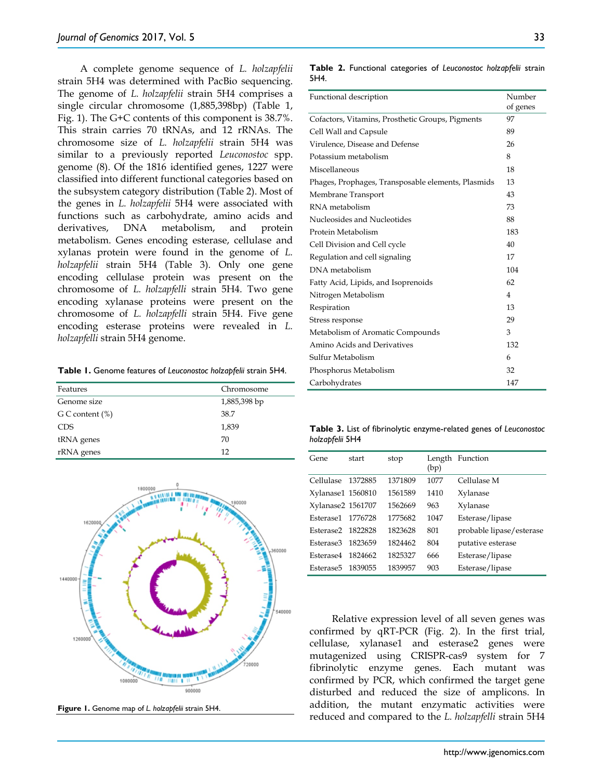A complete genome sequence of *L. holzapfelii* strain 5H4 was determined with PacBio sequencing. The genome of *L. holzapfelii* strain 5H4 comprises a single circular chromosome (1,885,398bp) (Table 1, Fig. 1). The G+C contents of this component is 38.7%. This strain carries 70 tRNAs, and 12 rRNAs. The chromosome size of *L. holzapfelii* strain 5H4 was similar to a previously reported *Leuconostoc* spp. genome (8). Of the 1816 identified genes, 1227 were classified into different functional categories based on the subsystem category distribution (Table 2). Most of the genes in *L. holzapfelii* 5H4 were associated with functions such as carbohydrate, amino acids and derivatives, DNA metabolism, and protein metabolism. Genes encoding esterase, cellulase and xylanas protein were found in the genome of *L. holzapfelii* strain 5H4 (Table 3). Only one gene encoding cellulase protein was present on the chromosome of *L. holzapfelli* strain 5H4. Two gene encoding xylanase proteins were present on the chromosome of *L. holzapfelli* strain 5H4. Five gene encoding esterase proteins were revealed in *L. holzapfelli* strain 5H4 genome.

|  |  |  |  | Table 1. Genome features of Leuconostoc holzapfelii strain 5H4. |  |  |  |
|--|--|--|--|-----------------------------------------------------------------|--|--|--|
|--|--|--|--|-----------------------------------------------------------------|--|--|--|

| Features           | Chromosome   |
|--------------------|--------------|
| Genome size        | 1,885,398 bp |
| G C content $(\%)$ | 38.7         |
| <b>CDS</b>         | 1,839        |
| tRNA genes         | 70           |
| rRNA genes         | 12           |



**Figure 1.** Genome map of *L. holzapfelii* strain 5H4.

**Table 2.** Functional categories of *Leuconostoc holzapfelii* strain

5H4.

| Functional description                             | Number         |  |
|----------------------------------------------------|----------------|--|
|                                                    | of genes       |  |
| Cofactors, Vitamins, Prosthetic Groups, Pigments   | 97             |  |
| Cell Wall and Capsule                              | 89             |  |
| Virulence, Disease and Defense                     | 26             |  |
| Potassium metabolism                               | 8              |  |
| Miscellaneous                                      | 18             |  |
| Phages, Prophages, Transposable elements, Plasmids | 13             |  |
| Membrane Transport                                 | 43             |  |
| RNA metabolism                                     | 73             |  |
| Nucleosides and Nucleotides                        | 88             |  |
| Protein Metabolism                                 | 183            |  |
| Cell Division and Cell cycle                       | 40             |  |
| Regulation and cell signaling                      | 17             |  |
| DNA metabolism                                     | 104            |  |
| Fatty Acid, Lipids, and Isoprenoids                | 62             |  |
| Nitrogen Metabolism                                | $\overline{4}$ |  |
| Respiration                                        | 13             |  |
| Stress response                                    | 29             |  |
| Metabolism of Aromatic Compounds                   | 3              |  |
| Amino Acids and Derivatives                        | 132            |  |
| Sulfur Metabolism                                  | 6              |  |
| Phosphorus Metabolism                              | 32             |  |
| Carbohydrates                                      | 147            |  |

**Table 3.** List of fibrinolytic enzyme-related genes of *Leuconostoc holzapfelii* 5H4

| Gene              | start   | stop    | Length<br>(bp) | Function                 |
|-------------------|---------|---------|----------------|--------------------------|
| Cellulase         | 1372885 | 1371809 | 1077           | Cellulase M              |
| Xylanase1 1560810 |         | 1561589 | 1410           | Xylanase                 |
| Xylanase2 1561707 |         | 1562669 | 963            | Xylanase                 |
| Esterase1         | 1776728 | 1775682 | 1047           | Esterase/lipase          |
| Esterase2         | 1822828 | 1823628 | 801            | probable lipase/esterase |
| Esterase3         | 1823659 | 1824462 | 804            | putative esterase        |
| Esterase4         | 1824662 | 1825327 | 666            | Esterase/lipase          |
| Esterase5         | 1839055 | 1839957 | 903            | Esterase/lipase          |

Relative expression level of all seven genes was confirmed by qRT-PCR (Fig. 2). In the first trial, cellulase, xylanase1 and esterase2 genes were mutagenized using CRISPR-cas9 system for 7 fibrinolytic enzyme genes. Each mutant was confirmed by PCR, which confirmed the target gene disturbed and reduced the size of amplicons. In addition, the mutant enzymatic activities were reduced and compared to the *L. holzapfelli* strain 5H4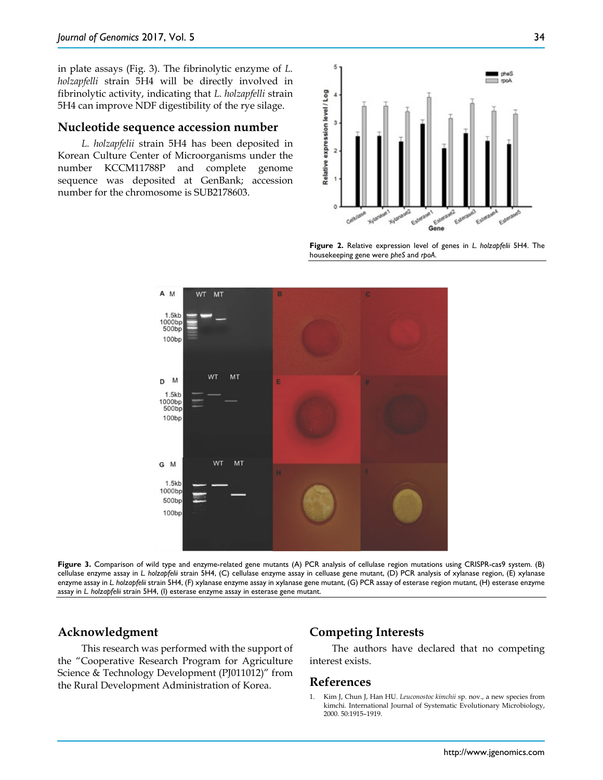in plate assays (Fig. 3). The fibrinolytic enzyme of *L. holzapfelli* strain 5H4 will be directly involved in fibrinolytic activity, indicating that *L. holzapfelli* strain 5H4 can improve NDF digestibility of the rye silage.

#### **Nucleotide sequence accession number**

*L. holzapfelii* strain 5H4 has been deposited in Korean Culture Center of Microorganisms under the number KCCM11788P and complete genome sequence was deposited at GenBank; accession number for the chromosome is SUB2178603.



**Figure 2.** Relative expression level of genes in *L. holzapfelii* 5H4. The housekeeping gene were *pheS* and *rpoA*.



**Figure 3.** Comparison of wild type and enzyme-related gene mutants (A) PCR analysis of cellulase region mutations using CRISPR-cas9 system. (B) cellulase enzyme assay in *L. holzapfelii* strain 5H4, (C) cellulase enzyme assay in celluase gene mutant, (D) PCR analysis of xylanase region, (E) xylanase enzyme assay in *L. holzapfelii* strain 5H4, (F) xylanase enzyme assay in xylanase gene mutant, (G) PCR assay of esterase region mutant, (H) esterase enzyme assay in *L. holzapfelii* strain 5H4, (I) esterase enzyme assay in esterase gene mutant.

## **Acknowledgment**

This research was performed with the support of the "Cooperative Research Program for Agriculture Science & Technology Development (PJ011012)" from the Rural Development Administration of Korea.

## **Competing Interests**

The authors have declared that no competing interest exists.

#### **References**

1. Kim J, Chun J, Han HU. *Leuconostoc kimchii* sp. nov., a new species from kimchi. International Journal of Systematic Evolutionary Microbiology, 2000. 50:1915–1919.